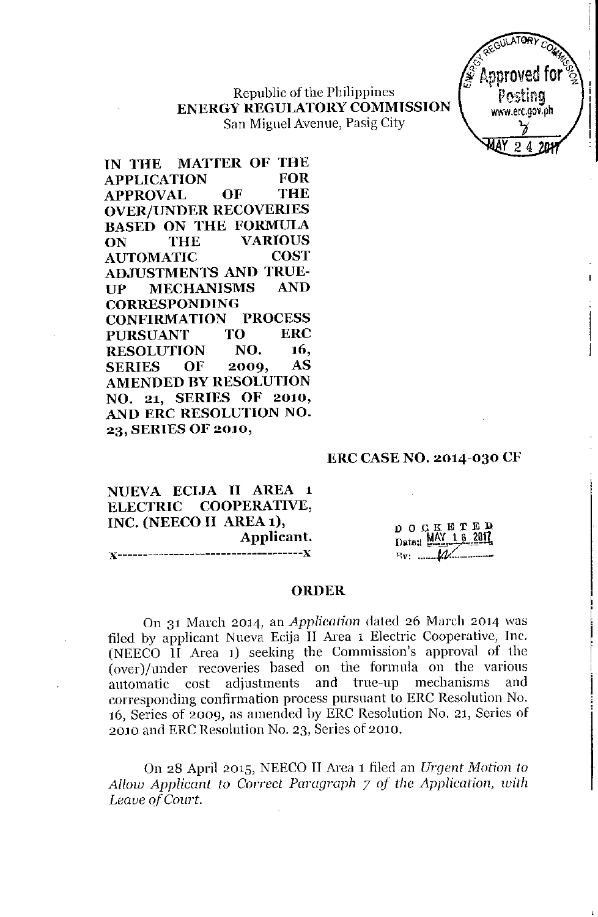Republic of the Philippines **ENERGY REGULATORYCOMMISSION** San Miguel Avenue, Pasig City



**IN THE MATfER OF THE APPLICATION FOR APPROVAL OF THE OVER/UNDER RECOVERIES BASED ON THE FORMULA ON THE VARIOUS AUTOMATIC COST ADJUSTMENTS AND TRUE-UP MECHANISMS AND CORRESPONDING CONFIRMATION PROCESS PURSUANT TO ERC RESOLUTION NO. 16, SERIES OF 2009, AS AMENDED BY RESOLUTION NO. 21, SERIES OF 2010, AND ERC RESOLUTION NO. 23, SERIES 01' 2010,**

### **ERC CASE NO. 2014-0:30 CF**

**NUEVA ECTJA II AREA 1 ELECTRIC COOPERATIVE, INC. (NEECO II AREA 1), Applicant.** ,,--------------~---------------------}(

DOCKETEP Date: MAY 16 2017 *l~V: .•.. j4,:(.\_ ....\_\_*

#### **ORDER**

On 31 March *2014,* an *Application* dated 26 March *2014* was filed by applicant Nueva Ecija II Area 1 Electric Cooperative, Inc. (NEECO II Area 1) seeking the Commission's approval of the (overl/under recoveries based on the formula on the various automatic cost adjustments and true-up mechanisms and corresponding confirmation process pursuant to ERC Resolution No. 16, Series of 2009, as amended by ERC Resolution No. 21, Series of *2010* and ERC Resolution No. 23, Series of *2010.*

On 28 April 2015, NEECO II Area 1 filed an *Urgent* Motion 10 *Allow Applicanl to Correct Paragraph* 7 *of the Application, with Leave of COllrt.*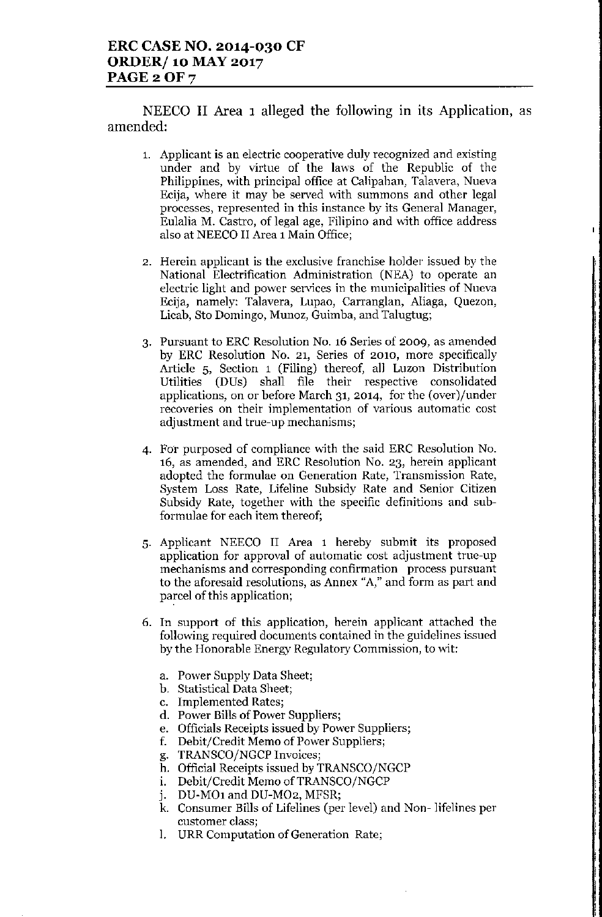NEECO II Area 1 alleged the following in its Application, as amended:

- 1. Applicant is an electric cooperative duly recognized and existing under and by virtue of the laws of the Republic of the Philippines, with principal office at Calipahan, Talavera, Nueva Ecija, where it may be served with summons and other legal processes, represented in this instance by its General Manager, Eulalia M. Castro, of legal age, Filipino and with office address also at NEECO II Area 1Main Office;
- 2. Herein applicant is the exclusive franchise holder issued by the National Electrification Administration (NEA) to operate an electric light and power services in the municipalities of Nueva Ecija, namely: Talavera, Lupao, Carranglan, Aliaga, Quezon, Licab, 8to Domingo, Munoz, Guimba, and Talugtug;
- 3. Pursuant to ERC Resolution No. 16 Series of 2009, as amended by ERC Resolution No. 21, Series of 2010, more specifically Article 5, Section 1 (Filing) thereof, all Luzon Distribution Utilities (DUs) shall file their respective consolidated applications, on or before March 31, 2014, for the (over)/under recoveries on their implementation of various automatic cost adjustment and true-up mechanisms;
- 4. For purposed of compliance with the said ERC Resolution No. 16, as amended, and ERC Resolution No. 23, herein applicant adopted the formulae on Generation Rate, Transmission Rate, System Loss Rate, Lifeline Subsidy Rate and Senior Citizen Subsidy Rate, together with the specific definitions and subformulae for each item thereof;
- 5. Applicant NEECO II Area 1 hereby submit its proposed application for approval of automatic cost adjustment true-up mechanisms and corresponding confirmation process pursuant to the aforesaid resolutions, as Annex "A," and form as part and parcel of this application;
- 6. In support of this application, herein applicant attached the following required documents contained in the guidelines issued by the Honorable Energy Regulatory Commission, to wit:
	- a. Power Supply Data Sheet;
	- b. Statistical Data Sheet;
	- c. Implemented Rates;
	- d. Power Bills of Power Suppliers;
	- e. Officials Receipts issued by Power Suppliers;
	- f. Debit/Credit Memo of Power Suppliers;
	- g. TRANSCO/NGCP Invoices;
	- h. Official Receipts issued by TRANSCO/NGCP
	- i. Debit/Credit Memo of TRANSCO/NGCP
	- j. DU-MO1 and DU-MO2, MFSR;
	- k. Consumer Bills of Lifelines (per level) and Non- lifelines per customer class;
	- 1. URR Computation of Generation Rate;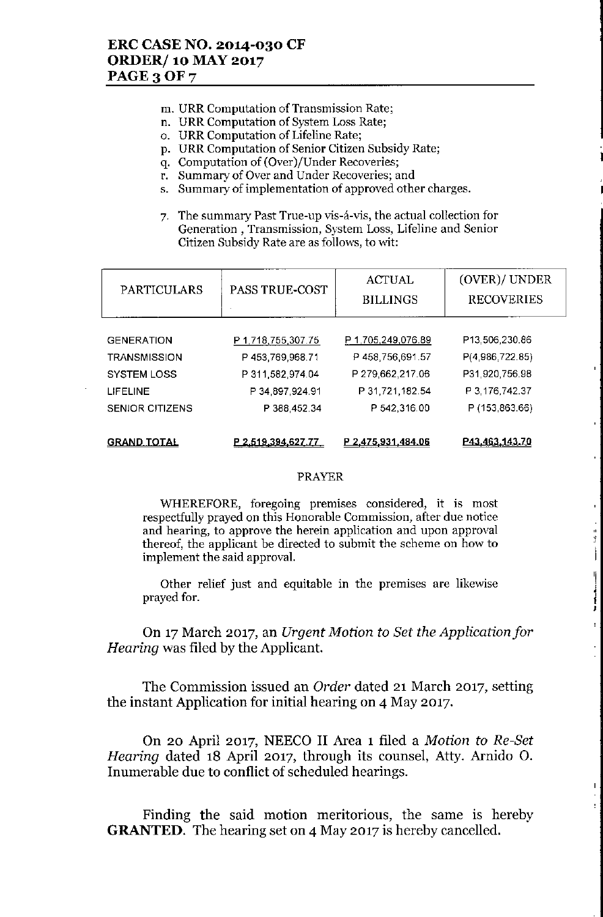- **ID. URR Computation** of Transmission **Rate;**
- **n. URR Computation of System Loss Rate;**
- o. URR Computation of Lifeline Rate;
- **p. URR Computation of Senior Citizen Subsidy Rate;**
- **q. Computation of (Over)jUnder Recoveries;**
- **r. Summary of Over and Under Recoveries; and**
- **s. Summary of implementation of approved other charges.**
- **7. The summary Past True-up vis-a.-vis, the actual collection for Generation, Transmission, System Loss, Lifeline and Senior Citizen Subsidy Rate are as follows, to v{it:**

•

•

'I l ,

 $\frac{1}{2} \int_{0}^{2\pi} \frac{1}{2} \, d\theta = \frac{1}{2} \int_{0}^{2\pi} \frac{1}{2} \, d\theta = \frac{1}{2} \int_{0}^{2\pi} \frac{1}{2} \, d\theta = \frac{1}{2} \int_{0}^{2\pi} \frac{1}{2} \, d\theta = \frac{1}{2} \int_{0}^{2\pi} \frac{1}{2} \, d\theta = \frac{1}{2} \int_{0}^{2\pi} \frac{1}{2} \, d\theta = \frac{1}{2} \int_{0}^{2\pi} \frac{1}{2} \, d\theta = \frac{1}{2} \int_{$ 

| <b>PARTICULARS</b>     | <b>PASS TRUE-COST</b> | <b>ACTUAL</b><br><b>BILLINGS</b> | (OVER)/ UNDER<br><b>RECOVERIES</b> |
|------------------------|-----------------------|----------------------------------|------------------------------------|
|                        |                       |                                  |                                    |
| <b>GENERATION</b>      | P 1,718,755,307.75    | P 1,705,249,076.89               | P13,506,230.86                     |
| <b>TRANSMISSION</b>    | P453,769,968.71       | P458,756,691.57                  | P(4,986,722.85)                    |
| <b>SYSTEM LOSS</b>     | P 311,582,974.04      | P 279,662,217.06                 | P31,920,756.98                     |
| <b>LIFELINE</b>        | P 34,897,924.91       | P 31,721,182.54                  | P 3, 176, 742.37                   |
| <b>SENIOR CITIZENS</b> | P 388,452.34          | P 542,316.00                     | P (153,863.66)                     |
| <u>GRAND TOTAL</u>     | P 2.519.394,627.77    | P 2,475,931,484.06               | P43.463.143.70                     |

#### PRAYER

**WHEREFORE, foregoing premises considered, it is most respectfully prayed on this Honorable Commission, after due notice and hearing, to approve the herein application and upon approval thereof, the applicant be directed to submit the scheme on how to implement the said approval.**

**Other relief just and equitable in the premises are likewise** prayed for.

On 17March 2017, an *Urgent Motion to Set the Applicationjor Hearing* was filed by the Applicant.

The Commission issued an *Order* dated 21 March 2017, setting the instant Application for initial hearing on 4 May 2017.

On 20 April 2017, NEECO II Area 1 filed a *Motion to Re-Set Hearing* dated 18 April 2017, through its counsel, Atty. Arnido O. Inumerable due to conflict of scheduled hearings.

Finding the said motion meritorious, the same is hereby **GRANTED.** The hearing set on 4 May 2017 is hereby cancelled.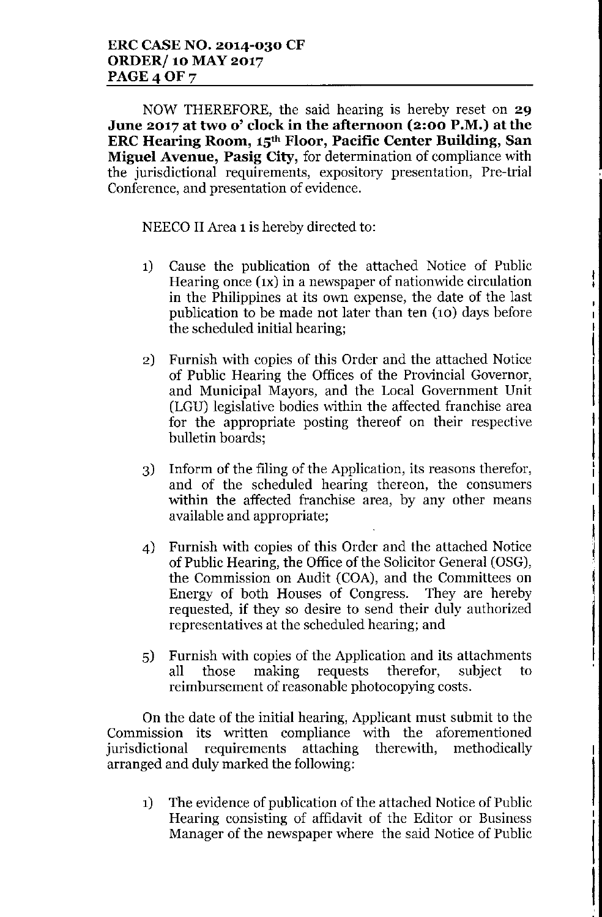NOW THEREFORE, the said hearing is hereby reset on **29 June 2017 at two 0' clock in the afternoon (2:00 P.M.) at the ERC Hearing Room, 15th Floor, Pacific Center Building, San Miguel Avenue, Pasig City,** for determination of compliance with the jurisdictional requirements, expository presentation, Pre-trial Conference, and presentation of evidence.

NEECO II Area 1is hereby directed to:

1) Cause the publication of the attached Notice of Public Hearing once (IX) in a newspaper of nationwide circulation in the Philippines at its own expense, the date of the last publication to be made not later than ten (10) days before the scheduled initial hearing;

!<br>!  $\frac{1}{4}$ 

I  $\mathbf{I}$ 

> \ I

1 j

||<br>|<br>|

I

!

i<br>Indonesia<br>Indonesia

- 2) Furnish with copies of this Order and the attached Notice of Public Hearing the Offices of the Provincial Governor, and Municipal Mayors, and the Local Government Unit (LGU) legislative bodies within the affected franchise area for the appropriate posting thereof on their respective bulletin boards;
- 3) Inform of the filing of the Application, its reasons therefor, and of the scheduled hearing thereon, the consumers within the affected franchise area, by any other means available and appropriate;
- 4) Furnish with copies of this Order and the attached Notice of Public Hearing, the Office of the Solicitor General (OSG), the Commission on Audit (COA), and the Committees on Energy of both Houses of Congress. They are hereby requested, if they so desire to send their duly authorized representatives at the scheduled hearing; and
- 5) Furnish with copies of the Application and its attachments all those making requests therefor, subject to reimbursement of reasonable photocopying costs.

On the date of the initial hearing, Applicant must submit to the Commission its written compliance with the aforementioned jurisdictional requirements attaching therewith, methodically arranged and duly marked the following:

1) The evidence of publication of the attached Notice of Public Hearing consisting of affidavit of the Editor or Business Manager of the newspaper where the said Notice of Public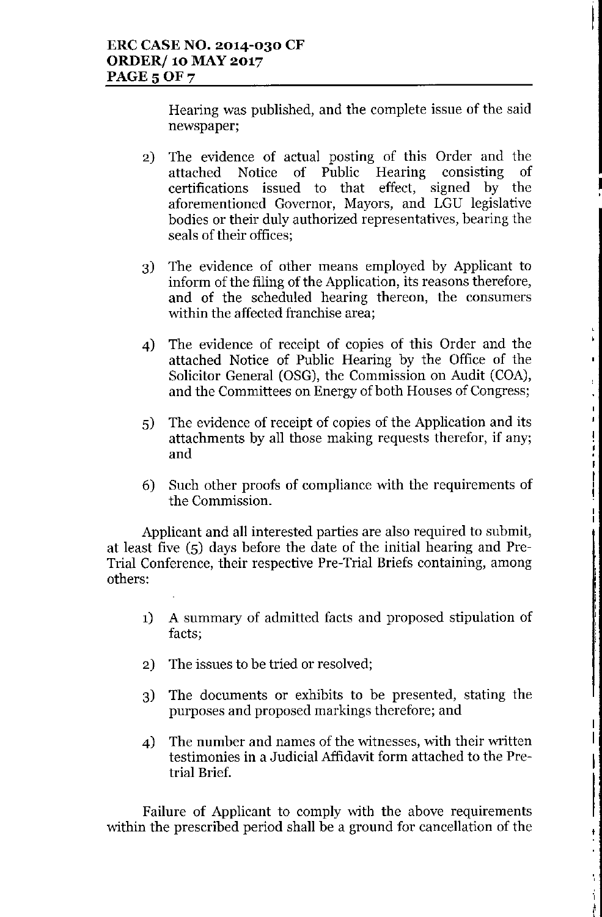Hearing was published, and the complete issue of the said newspaper;

> |<br>|<br>| **∣**

 $\frac{1}{2}$ ,<br>|<br>| •,

 $\mathbf{F}$ 

 $\mathbf{r}$ 

Ŷ,

|<br>|<br>|<br>|<br>|

t<br>:<br>:

L

L

., , , ,

- 2) The evidence of actual posting of this Order and the attached Notice of Public Hearing consisting of certifications issued to that effect, signed by the aforementioned Governor, Mayors, and LGU legislative bodies or their duly authorized representatives, bearing the seals of their offices;
- 3) The evidence of other means employed by Applicant to inform of the filing of the Application, its reasons therefore, and of the scheduled hearing thereon, the consumers within the affected franchise area;
- 4) The evidence of receipt of copies of this Order and the attached Notice of Public Hearing by the Office of the Solicitor General (OSG), the Commission on Audit (COA), and the Committees on Energy of both Houses of Congress;
- 5) The evidence of receipt of copies of the Application and its attachments by all those making requests therefor, if any; and
- 6) Such other proofs of compliance with the requirements of the Commission.

Applicant and all interested parties are also required to submit, at least five (5) days before the date of the initial hearing and Pre-Trial Conference, their respective Pre-Trial Briefs containing, among others:

- 1) A summary of admitted facts and proposed stipulation of facts;
- 2) The issues to be tried or resolved;
- 3) The documents or exhibits to be presented, stating the purposes and proposed markings therefore; and
- 4) The number and names of the witnesses, with their written testimonies in a Judicial Affidavit form attached to the Pretrial Brief.

Failure of Applicant to comply with the above requirements within the prescribed period shall be a ground for cancellation of the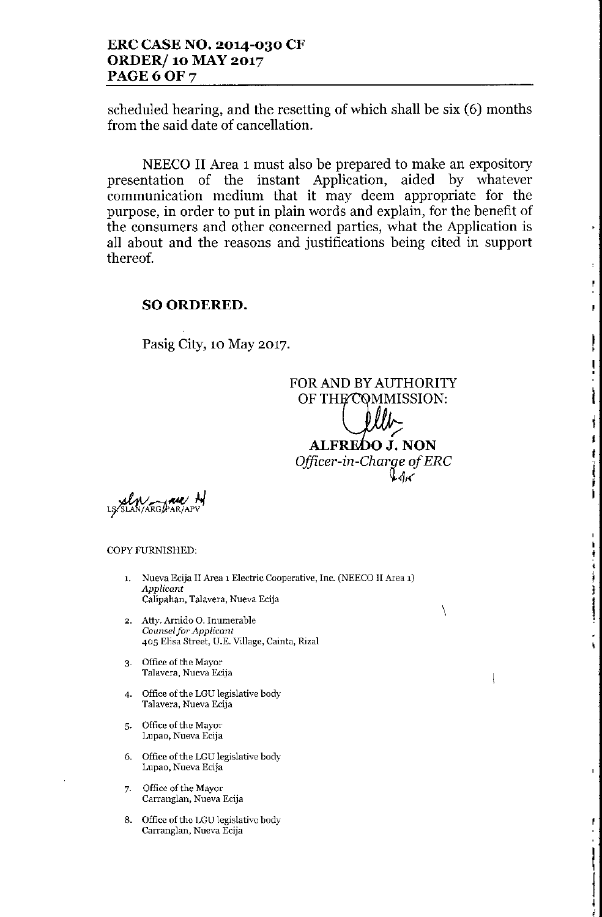scheduled hearing, and the resetting of which shall be six (6) months from the said date of cancellation.

NEECO II Area 1must also be prepared to make an expository presentation of the instant Application, aided by whatever communication medium that it may deem appropriate for the purpose, in order to put in plain words and explain, for the benefit of the consumers and other concerned parties, what the Application is all about and the reasons and justifications being cited in support thereof.

## SO ORDERED.

Pasig City, 10 May 2017.

FOR AND BY AUTHORITY OF THE COMMISSION: *r'* ALFREOO J. NON *Officer-in-Charge of ERC*  $\mathcal{A}_K$ 

\

 $\downarrow$ 

i<br>I

1 J *t* ., I i<br>I

ı<br>İ ,<br>|<br>|+  $\ddot{\ddot{\ }}$ ,

I

i<br>Vite markets :

,

l

j i<br>I I

ase. ARGPAR/AF

COPY FURNISHED:

- 1. Nueva Ecija II Area 1 Electric Cooperative, Inc. (NEECO II Area 1) *Applicant* Calipahan, Talavera, Nueva Ecija
- 2. Atty. Arnido O. Inumerable *COllnselfor Applicant* 405 Elisa Street, *V.E.* Village, Cainta, Rizal
- 3. Office of the Mayor Talavera, Nueva Ecija
- 4. Office of the LGU legislative body Talavera, Nueva Ecija
- 5. Office of the Mayor Lupao, Nueva Ecija
- 6. Office of the LGU legislative body Lupaa, Nueva Ecija
- 7. Office of the Mayor Carranglan, Nueva Ecija
- 8. Office of the LGU legislative body Carranglan, Nueva Ecija